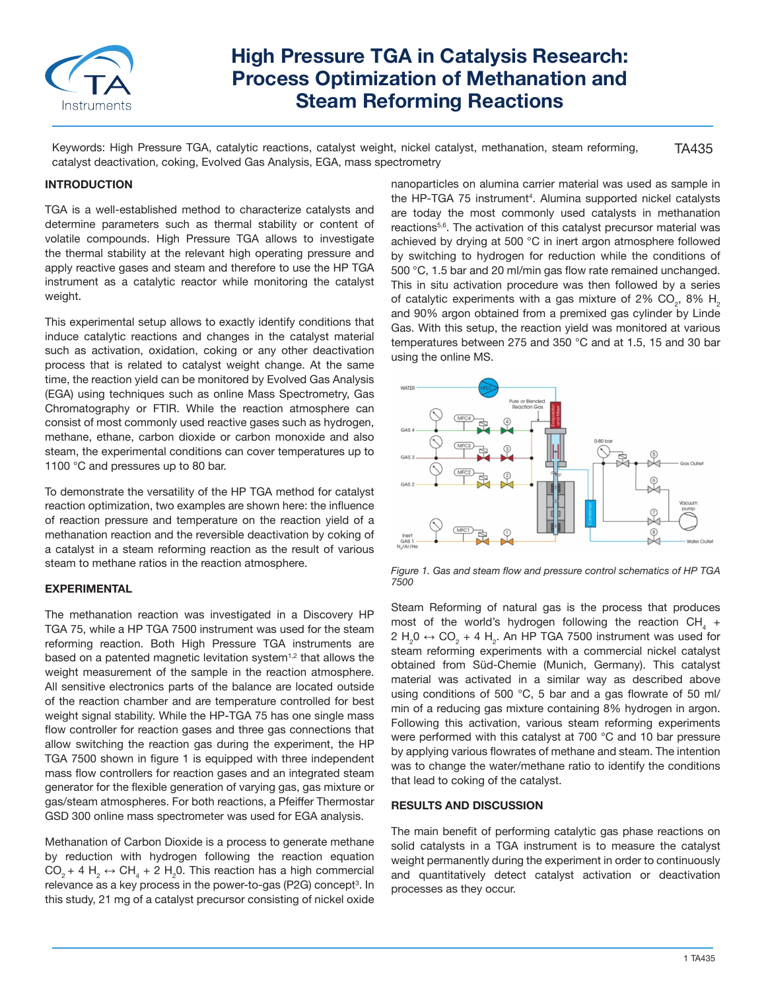

# **High Pressure TGA in Catalysis Research: Process Optimization of Methanation and Steam Reforming Reactions**

TA435 Keywords: High Pressure TGA, catalytic reactions, catalyst weight, nickel catalyst, methanation, steam reforming, catalyst deactivation, coking, Evolved Gas Analysis, EGA, mass spectrometry

# **INTRODUCTION**

TGA is a well-established method to characterize catalysts and determine parameters such as thermal stability or content of volatile compounds. High Pressure TGA allows to investigate the thermal stability at the relevant high operating pressure and apply reactive gases and steam and therefore to use the HP TGA instrument as a catalytic reactor while monitoring the catalyst weight.

This experimental setup allows to exactly identify conditions that induce catalytic reactions and changes in the catalyst material such as activation, oxidation, coking or any other deactivation process that is related to catalyst weight change. At the same time, the reaction yield can be monitored by Evolved Gas Analysis (EGA) using techniques such as online Mass Spectrometry, Gas Chromatography or FTIR. While the reaction atmosphere can consist of most commonly used reactive gases such as hydrogen, methane, ethane, carbon dioxide or carbon monoxide and also steam, the experimental conditions can cover temperatures up to 1100 °C and pressures up to 80 bar.

To demonstrate the versatility of the HP TGA method for catalyst reaction optimization, two examples are shown here: the influence of reaction pressure and temperature on the reaction yield of a methanation reaction and the reversible deactivation by coking of a catalyst in a steam reforming reaction as the result of various steam to methane ratios in the reaction atmosphere.

### **EXPERIMENTAL**

The methanation reaction was investigated in a Discovery HP TGA 75, while a HP TGA 7500 instrument was used for the steam reforming reaction. Both High Pressure TGA instruments are based on a patented magnetic levitation system<sup>1,2</sup> that allows the weight measurement of the sample in the reaction atmosphere. All sensitive electronics parts of the balance are located outside of the reaction chamber and are temperature controlled for best weight signal stability. While the HP-TGA 75 has one single mass flow controller for reaction gases and three gas connections that allow switching the reaction gas during the experiment, the HP TGA 7500 shown in figure 1 is equipped with three independent mass flow controllers for reaction gases and an integrated steam generator for the flexible generation of varying gas, gas mixture or gas/steam atmospheres. For both reactions, a Pfeiffer Thermostar GSD 300 online mass spectrometer was used for EGA analysis.

Methanation of Carbon Dioxide is a process to generate methane by reduction with hydrogen following the reaction equation  $CO_2 + 4 H_2 \leftrightarrow CH_4 + 2 H_2 0$ . This reaction has a high commercial relevance as a key process in the power-to-gas (P2G) concept $^{\rm 3}$ . In this study, 21 mg of a catalyst precursor consisting of nickel oxide

nanoparticles on alumina carrier material was used as sample in the HP-TGA 75 instrument<sup>4</sup>. Alumina supported nickel catalysts are today the most commonly used catalysts in methanation reactions<sup>5,6</sup>. The activation of this catalyst precursor material was achieved by drying at 500 °C in inert argon atmosphere followed by switching to hydrogen for reduction while the conditions of 500 °C, 1.5 bar and 20 ml/min gas flow rate remained unchanged. This in situ activation procedure was then followed by a series of catalytic experiments with a gas mixture of 2% CO<sub>2</sub>, 8%  $H_{2}$ and 90% argon obtained from a premixed gas cylinder by Linde Gas. With this setup, the reaction yield was monitored at various temperatures between 275 and 350 °C and at 1.5, 15 and 30 bar using the online MS.



*Figure 1. Gas and steam flow and pressure control schematics of HP TGA 7500*

Steam Reforming of natural gas is the process that produces most of the world's hydrogen following the reaction  $\text{\rm CH}_{_4}$  +  $2 H_2 0 \leftrightarrow CO_2 + 4 H_2$ . An HP TGA 7500 instrument was used for steam reforming experiments with a commercial nickel catalyst obtained from Süd-Chemie (Munich, Germany). This catalyst material was activated in a similar way as described above using conditions of 500 °C, 5 bar and a gas flowrate of 50 ml/ min of a reducing gas mixture containing 8% hydrogen in argon. Following this activation, various steam reforming experiments were performed with this catalyst at 700 °C and 10 bar pressure by applying various flowrates of methane and steam. The intention was to change the water/methane ratio to identify the conditions that lead to coking of the catalyst.

# **RESULTS AND DISCUSSION**

The main benefit of performing catalytic gas phase reactions on solid catalysts in a TGA instrument is to measure the catalyst weight permanently during the experiment in order to continuously and quantitatively detect catalyst activation or deactivation processes as they occur.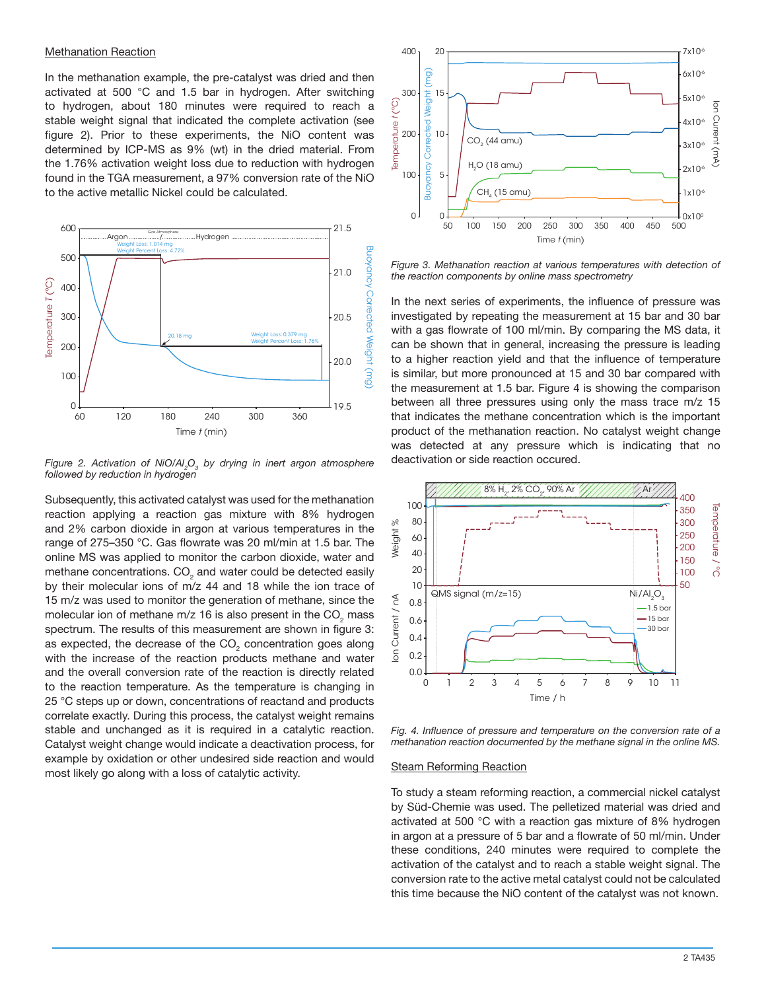#### Methanation Reaction

In the methanation example, the pre-catalyst was dried and then activated at 500 °C and 1.5 bar in hydrogen. After switching to hydrogen, about 180 minutes were required to reach a stable weight signal that indicated the complete activation (see figure 2). Prior to these experiments, the NiO content was determined by ICP-MS as 9% (wt) in the dried material. From the 1.76% activation weight loss due to reduction with hydrogen found in the TGA measurement, a 97% conversion rate of the NiO to the active metallic Nickel could be calculated.



*Figure 2. Activation of NiO/Al<sup>2</sup> O3 by drying in inert argon atmosphere followed by reduction in hydrogen*

Subsequently, this activated catalyst was used for the methanation reaction applying a reaction gas mixture with 8% hydrogen and 2% carbon dioxide in argon at various temperatures in the range of 275–350 °C. Gas flowrate was 20 ml/min at 1.5 bar. The online MS was applied to monitor the carbon dioxide, water and methane concentrations.  $\mathsf{CO}_2$  and water could be detected easily by their molecular ions of m/z 44 and 18 while the ion trace of 15 m/z was used to monitor the generation of methane, since the molecular ion of methane m/z 16 is also present in the CO<sub>2</sub> mass spectrum. The results of this measurement are shown in figure 3: as expected, the decrease of the CO<sub>2</sub> concentration goes along with the increase of the reaction products methane and water and the overall conversion rate of the reaction is directly related to the reaction temperature. As the temperature is changing in 25 °C steps up or down, concentrations of reactand and products correlate exactly. During this process, the catalyst weight remains stable and unchanged as it is required in a catalytic reaction. Catalyst weight change would indicate a deactivation process, for example by oxidation or other undesired side reaction and would most likely go along with a loss of catalytic activity.



*Figure 3. Methanation reaction at various temperatures with detection of the reaction components by online mass spectrometry*

In the next series of experiments, the influence of pressure was investigated by repeating the measurement at 15 bar and 30 bar with a gas flowrate of 100 ml/min. By comparing the MS data, it can be shown that in general, increasing the pressure is leading to a higher reaction yield and that the influence of temperature is similar, but more pronounced at 15 and 30 bar compared with the measurement at 1.5 bar. Figure 4 is showing the comparison between all three pressures using only the mass trace m/z 15 that indicates the methane concentration which is the important product of the methanation reaction. No catalyst weight change was detected at any pressure which is indicating that no deactivation or side reaction occured.



*Fig. 4. Influence of pressure and temperature on the conversion rate of a methanation reaction documented by the methane signal in the online MS.*

#### **Steam Reforming Reaction**

To study a steam reforming reaction, a commercial nickel catalyst by Süd-Chemie was used. The pelletized material was dried and activated at 500 °C with a reaction gas mixture of 8% hydrogen in argon at a pressure of 5 bar and a flowrate of 50 ml/min. Under these conditions, 240 minutes were required to complete the activation of the catalyst and to reach a stable weight signal. The conversion rate to the active metal catalyst could not be calculated this time because the NiO content of the catalyst was not known.